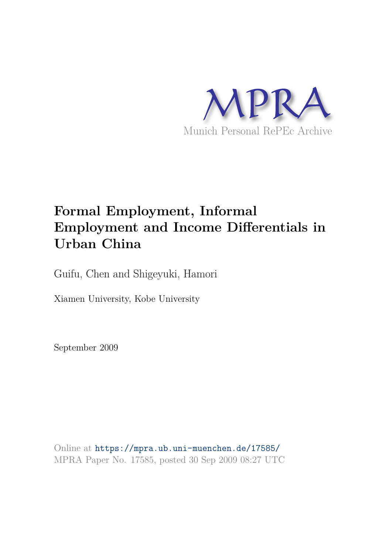

# **Formal Employment, Informal Employment and Income Differentials in Urban China**

Guifu, Chen and Shigeyuki, Hamori

Xiamen University, Kobe University

September 2009

Online at https://mpra.ub.uni-muenchen.de/17585/ MPRA Paper No. 17585, posted 30 Sep 2009 08:27 UTC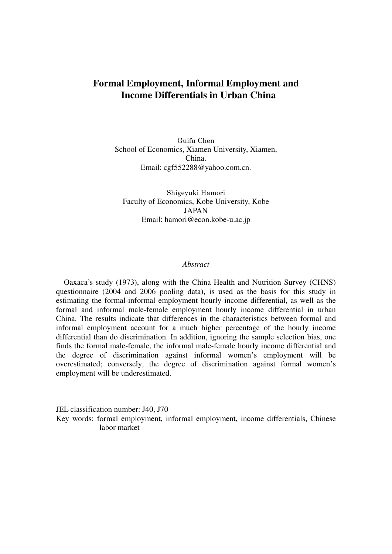## **Formal Employment, Informal Employment and Income Differentials in Urban China**

Guifu Chen School of Economics, Xiamen University, Xiamen, China. Email: cgf552288@yahoo.com.cn.

Shigeyuki Hamori Faculty of Economics, Kobe University, Kobe JAPAN Email: hamori@econ.kobe-u.ac.jp

#### *Abstract*

Oaxaca's study (1973), along with the China Health and Nutrition Survey (CHNS) questionnaire (2004 and 2006 pooling data), is used as the basis for this study in estimating the formal-informal employment hourly income differential, as well as the formal and informal male-female employment hourly income differential in urban China. The results indicate that differences in the characteristics between formal and informal employment account for a much higher percentage of the hourly income differential than do discrimination. In addition, ignoring the sample selection bias, one finds the formal male-female, the informal male-female hourly income differential and the degree of discrimination against informal women's employment will be overestimated; conversely, the degree of discrimination against formal women's employment will be underestimated.

JEL classification number: J40, J70

Key words: formal employment, informal employment, income differentials, Chinese labor market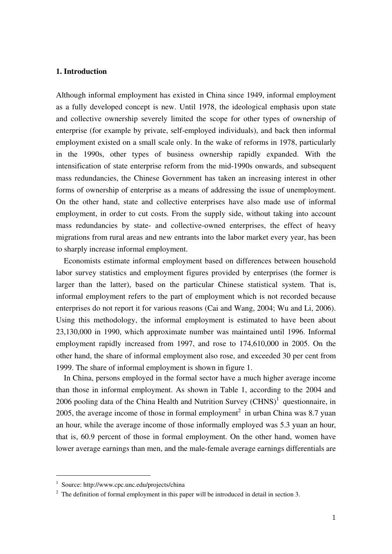### **1. Introduction**

Although informal employment has existed in China since 1949, informal employment as a fully developed concept is new. Until 1978, the ideological emphasis upon state and collective ownership severely limited the scope for other types of ownership of enterprise (for example by private, self-employed individuals), and back then informal employment existed on a small scale only. In the wake of reforms in 1978, particularly in the 1990s, other types of business ownership rapidly expanded. With the intensification of state enterprise reform from the mid-1990s onwards, and subsequent mass redundancies, the Chinese Government has taken an increasing interest in other forms of ownership of enterprise as a means of addressing the issue of unemployment. On the other hand, state and collective enterprises have also made use of informal employment, in order to cut costs. From the supply side, without taking into account mass redundancies by state- and collective-owned enterprises, the effect of heavy migrations from rural areas and new entrants into the labor market every year, has been to sharply increase informal employment.

Economists estimate informal employment based on differences between household labor survey statistics and employment figures provided by enterprises (the former is larger than the latter), based on the particular Chinese statistical system. That is, informal employment refers to the part of employment which is not recorded because enterprises do not report it for various reasons (Cai and Wang, 2004; Wu and Li, 2006). Using this methodology, the informal employment is estimated to have been about 23,130,000 in 1990, which approximate number was maintained until 1996. Informal employment rapidly increased from 1997, and rose to 174,610,000 in 2005. On the other hand, the share of informal employment also rose, and exceeded 30 per cent from 1999. The share of informal employment is shown in figure 1.

In China, persons employed in the formal sector have a much higher average income than those in informal employment. As shown in Table 1, according to the 2004 and 2006 pooling data of the China Health and Nutrition Survey  $(CHNS)^1$  questionnaire, in 2005, the average income of those in formal employment<sup>2</sup> in urban China was 8.7 yuan an hour, while the average income of those informally employed was 5.3 yuan an hour, that is, 60.9 percent of those in formal employment. On the other hand, women have lower average earnings than men, and the male-female average earnings differentials are

-

<sup>1</sup> Source: http://www.cpc.unc.edu/projects/china

 $2^2$  The definition of formal employment in this paper will be introduced in detail in section 3.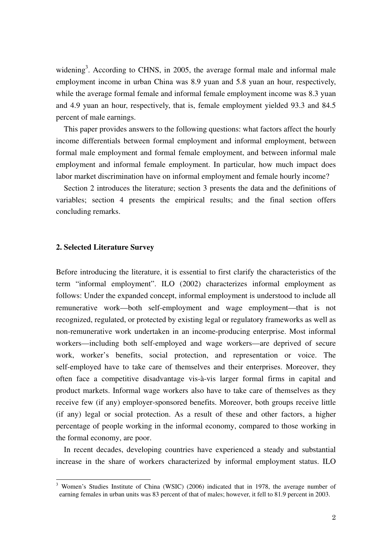widening<sup>3</sup>. According to CHNS, in 2005, the average formal male and informal male employment income in urban China was 8.9 yuan and 5.8 yuan an hour, respectively, while the average formal female and informal female employment income was 8.3 yuan and 4.9 yuan an hour, respectively, that is, female employment yielded 93.3 and 84.5 percent of male earnings.

This paper provides answers to the following questions: what factors affect the hourly income differentials between formal employment and informal employment, between formal male employment and formal female employment, and between informal male employment and informal female employment. In particular, how much impact does labor market discrimination have on informal employment and female hourly income?

Section 2 introduces the literature; section 3 presents the data and the definitions of variables; section 4 presents the empirical results; and the final section offers concluding remarks.

#### **2. Selected Literature Survey**

1

Before introducing the literature, it is essential to first clarify the characteristics of the term "informal employment". ILO (2002) characterizes informal employment as follows: Under the expanded concept, informal employment is understood to include all remunerative work—both self-employment and wage employment—that is not recognized, regulated, or protected by existing legal or regulatory frameworks as well as non-remunerative work undertaken in an income-producing enterprise. Most informal workers—including both self-employed and wage workers—are deprived of secure work, worker's benefits, social protection, and representation or voice. The self-employed have to take care of themselves and their enterprises. Moreover, they often face a competitive disadvantage vis-à-vis larger formal firms in capital and product markets. Informal wage workers also have to take care of themselves as they receive few (if any) employer-sponsored benefits. Moreover, both groups receive little (if any) legal or social protection. As a result of these and other factors, a higher percentage of people working in the informal economy, compared to those working in the formal economy, are poor.

In recent decades, developing countries have experienced a steady and substantial increase in the share of workers characterized by informal employment status. ILO

<sup>3</sup> Women's Studies Institute of China (WSIC) (2006) indicated that in 1978, the average number of earning females in urban units was 83 percent of that of males; however, it fell to 81.9 percent in 2003.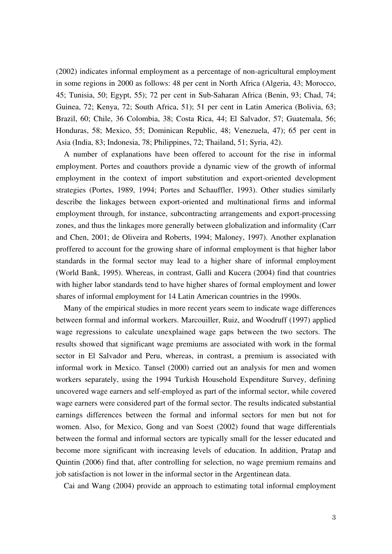(2002) indicates informal employment as a percentage of non-agricultural employment in some regions in 2000 as follows: 48 per cent in North Africa (Algeria, 43; Morocco, 45; Tunisia, 50; Egypt, 55); 72 per cent in Sub-Saharan Africa (Benin, 93; Chad, 74; Guinea, 72; Kenya, 72; South Africa, 51); 51 per cent in Latin America (Bolivia, 63; Brazil, 60; Chile, 36 Colombia, 38; Costa Rica, 44; El Salvador, 57; Guatemala, 56; Honduras, 58; Mexico, 55; Dominican Republic, 48; Venezuela, 47); 65 per cent in Asia (India, 83; Indonesia, 78; Philippines, 72; Thailand, 51; Syria, 42).

A number of explanations have been offered to account for the rise in informal employment. Portes and coauthors provide a dynamic view of the growth of informal employment in the context of import substitution and export-oriented development strategies (Portes, 1989, 1994; Portes and Schauffler, 1993). Other studies similarly describe the linkages between export-oriented and multinational firms and informal employment through, for instance, subcontracting arrangements and export-processing zones, and thus the linkages more generally between globalization and informality (Carr and Chen, 2001; de Oliveira and Roberts, 1994; Maloney, 1997). Another explanation proffered to account for the growing share of informal employment is that higher labor standards in the formal sector may lead to a higher share of informal employment (World Bank, 1995). Whereas, in contrast, Galli and Kucera (2004) find that countries with higher labor standards tend to have higher shares of formal employment and lower shares of informal employment for 14 Latin American countries in the 1990s.

Many of the empirical studies in more recent years seem to indicate wage differences between formal and informal workers. Marcouiller, Ruiz, and Woodruff (1997) applied wage regressions to calculate unexplained wage gaps between the two sectors. The results showed that significant wage premiums are associated with work in the formal sector in El Salvador and Peru, whereas, in contrast, a premium is associated with informal work in Mexico. Tansel (2000) carried out an analysis for men and women workers separately, using the 1994 Turkish Household Expenditure Survey, defining uncovered wage earners and self-employed as part of the informal sector, while covered wage earners were considered part of the formal sector. The results indicated substantial earnings differences between the formal and informal sectors for men but not for women. Also, for Mexico, Gong and van Soest (2002) found that wage differentials between the formal and informal sectors are typically small for the lesser educated and become more significant with increasing levels of education. In addition, Pratap and Quintin (2006) find that, after controlling for selection, no wage premium remains and job satisfaction is not lower in the informal sector in the Argentinean data.

Cai and Wang (2004) provide an approach to estimating total informal employment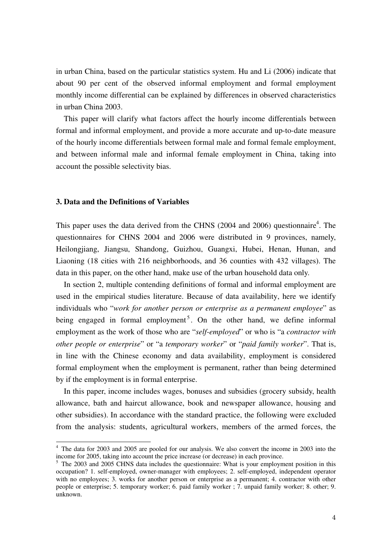in urban China, based on the particular statistics system. Hu and Li (2006) indicate that about 90 per cent of the observed informal employment and formal employment monthly income differential can be explained by differences in observed characteristics in urban China 2003.

This paper will clarify what factors affect the hourly income differentials between formal and informal employment, and provide a more accurate and up-to-date measure of the hourly income differentials between formal male and formal female employment, and between informal male and informal female employment in China, taking into account the possible selectivity bias.

#### **3. Data and the Definitions of Variables**

This paper uses the data derived from the CHNS  $(2004$  and  $2006)$  questionnaire<sup>4</sup>. The questionnaires for CHNS 2004 and 2006 were distributed in 9 provinces, namely, Heilongjiang, Jiangsu, Shandong, Guizhou, Guangxi, Hubei, Henan, Hunan, and Liaoning (18 cities with 216 neighborhoods, and 36 counties with 432 villages). The data in this paper, on the other hand, make use of the urban household data only.

In section 2, multiple contending definitions of formal and informal employment are used in the empirical studies literature. Because of data availability, here we identify individuals who "*work for another person or enterprise as a permanent employee*" as being engaged in formal employment<sup>5</sup>. On the other hand, we define informal employment as the work of those who are "*self-employed*" or who is "a *contractor with other people or enterprise*" or "a *temporary worker*" or "*paid family worker*". That is, in line with the Chinese economy and data availability, employment is considered formal employment when the employment is permanent, rather than being determined by if the employment is in formal enterprise.

In this paper, income includes wages, bonuses and subsidies (grocery subsidy, health allowance, bath and haircut allowance, book and newspaper allowance, housing and other subsidies). In accordance with the standard practice, the following were excluded from the analysis: students, agricultural workers, members of the armed forces, the

<sup>&</sup>lt;sup>4</sup> The data for 2003 and 2005 are pooled for our analysis. We also convert the income in 2003 into the income for 2005, taking into account the price increase (or decrease) in each province.

<sup>&</sup>lt;sup>5</sup> The 2003 and 2005 CHNS data includes the questionnaire: What is your employment position in this occupation? 1. self-employed, owner-manager with employees; 2. self-employed, independent operator with no employees; 3. works for another person or enterprise as a permanent; 4. contractor with other people or enterprise; 5. temporary worker; 6. paid family worker ; 7. unpaid family worker; 8. other; 9. unknown.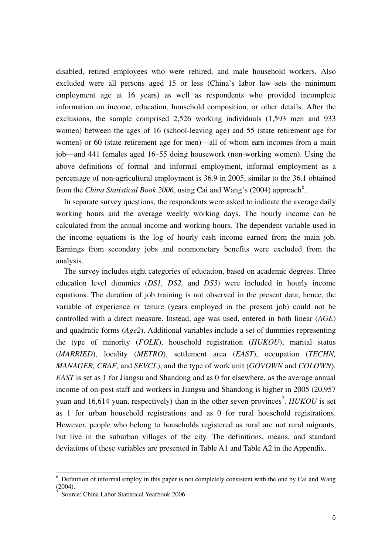disabled, retired employees who were rehired, and male household workers. Also excluded were all persons aged 15 or less (China's labor law sets the minimum employment age at 16 years) as well as respondents who provided incomplete information on income, education, household composition, or other details. After the exclusions, the sample comprised 2,526 working individuals (1,593 men and 933 women) between the ages of 16 (school-leaving age) and 55 (state retirement age for women) or 60 (state retirement age for men)—all of whom earn incomes from a main job—and 441 females aged 16–55 doing housework (non-working women). Using the above definitions of formal and informal employment, informal employment as a percentage of non-agricultural employment is 36.9 in 2005, similar to the 36.1 obtained from the *China Statistical Book 2006*, using Cai and Wang's (2004) approach<sup>6</sup>.

In separate survey questions, the respondents were asked to indicate the average daily working hours and the average weekly working days. The hourly income can be calculated from the annual income and working hours. The dependent variable used in the income equations is the log of hourly cash income earned from the main job. Earnings from secondary jobs and nonmonetary benefits were excluded from the analysis.

The survey includes eight categories of education, based on academic degrees. Three education level dummies (*DS1, DS2,* and *DS3*) were included in hourly income equations. The duration of job training is not observed in the present data; hence, the variable of experience or tenure (years employed in the present job) could not be controlled with a direct measure. Instead, age was used, entered in both linear (*AGE*) and quadratic forms (*Age2*). Additional variables include a set of dummies representing the type of minority (*FOLK*), household registration (*HUKOU*), marital status (*MARRIED*), locality (*METRO*), settlement area (*EAST*), occupation (*TECHN, MANAGER, CRAF,* and *SEVCL*), and the type of work unit (*GOVOWN* and *COLOWN*). *EAST* is set as 1 for Jiangsu and Shandong and as 0 for elsewhere, as the average annual income of on-post staff and workers in Jiangsu and Shandong is higher in 2005 (20,957 yuan and 16,614 yuan, respectively) than in the other seven provinces<sup>7</sup>. *HUKOU* is set as 1 for urban household registrations and as 0 for rural household registrations. However, people who belong to households registered as rural are not rural migrants, but live in the suburban villages of the city. The definitions, means, and standard deviations of these variables are presented in Table A1 and Table A2 in the Appendix.

1

<sup>&</sup>lt;sup>6</sup> Definition of informal employ in this paper is not completely consistent with the one by Cai and Wang (2004).

<sup>7</sup> Source: China Labor Statistical Yearbook 2006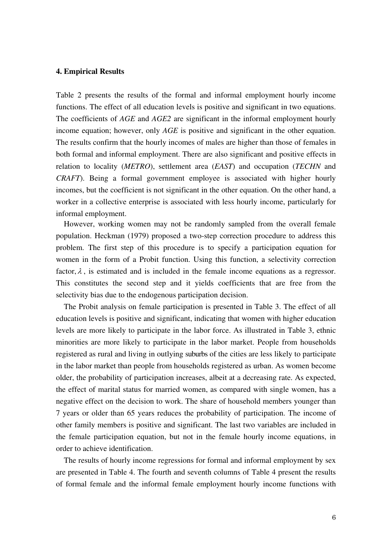#### **4. Empirical Results**

Table 2 presents the results of the formal and informal employment hourly income functions. The effect of all education levels is positive and significant in two equations. The coefficients of *AGE* and *AGE2* are significant in the informal employment hourly income equation; however, only *AGE* is positive and significant in the other equation. The results confirm that the hourly incomes of males are higher than those of females in both formal and informal employment. There are also significant and positive effects in relation to locality (*METRO*), settlement area (*EAST*) and occupation (*TECHN* and *CRAFT*). Being a formal government employee is associated with higher hourly incomes, but the coefficient is not significant in the other equation. On the other hand, a worker in a collective enterprise is associated with less hourly income, particularly for informal employment.

However, working women may not be randomly sampled from the overall female population. Heckman (1979) proposed a two-step correction procedure to address this problem. The first step of this procedure is to specify a participation equation for women in the form of a Probit function. Using this function, a selectivity correction factor,  $\lambda$ , is estimated and is included in the female income equations as a regressor. This constitutes the second step and it yields coefficients that are free from the selectivity bias due to the endogenous participation decision.

The Probit analysis on female participation is presented in Table 3. The effect of all education levels is positive and significant, indicating that women with higher education levels are more likely to participate in the labor force. As illustrated in Table 3, ethnic minorities are more likely to participate in the labor market. People from households registered as rural and living in outlying suburbs of the cities are less likely to participate in the labor market than people from households registered as urban. As women become older, the probability of participation increases, albeit at a decreasing rate. As expected, the effect of marital status for married women, as compared with single women, has a negative effect on the decision to work. The share of household members younger than 7 years or older than 65 years reduces the probability of participation. The income of other family members is positive and significant. The last two variables are included in the female participation equation, but not in the female hourly income equations, in order to achieve identification.

The results of hourly income regressions for formal and informal employment by sex are presented in Table 4. The fourth and seventh columns of Table 4 present the results of formal female and the informal female employment hourly income functions with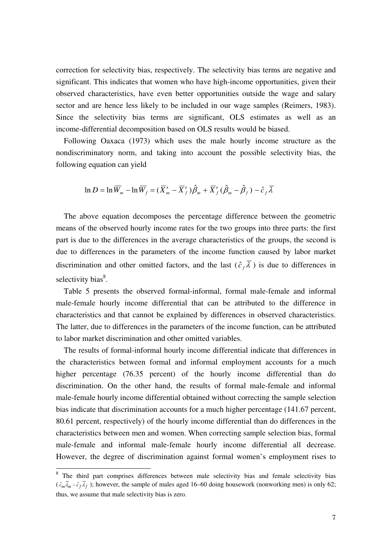correction for selectivity bias, respectively. The selectivity bias terms are negative and significant. This indicates that women who have high-income opportunities, given their observed characteristics, have even better opportunities outside the wage and salary sector and are hence less likely to be included in our wage samples (Reimers, 1983). Since the selectivity bias terms are significant, OLS estimates as well as an income-differential decomposition based on OLS results would be biased.

Following Oaxaca (1973) which uses the male hourly income structure as the nondiscriminatory norm, and taking into account the possible selectivity bias, the following equation can yield

$$
\ln D = \ln \overline{W}_m - \ln \overline{W}_f = (\overline{X}'_m - \overline{X}'_f) \hat{\beta}_m + \overline{X}'_f (\hat{\beta}_m - \hat{\beta}_f) - \hat{c}_f \overline{\lambda}
$$

The above equation decomposes the percentage difference between the geometric means of the observed hourly income rates for the two groups into three parts: the first part is due to the differences in the average characteristics of the groups, the second is due to differences in the parameters of the income function caused by labor market discrimination and other omitted factors, and the last  $(\hat{c}_f \lambda)$  is due to differences in selectivity bias<sup>8</sup>.

Table 5 presents the observed formal-informal, formal male-female and informal male-female hourly income differential that can be attributed to the difference in characteristics and that cannot be explained by differences in observed characteristics. The latter, due to differences in the parameters of the income function, can be attributed to labor market discrimination and other omitted variables.

The results of formal-informal hourly income differential indicate that differences in the characteristics between formal and informal employment accounts for a much higher percentage (76.35 percent) of the hourly income differential than do discrimination. On the other hand, the results of formal male-female and informal male-female hourly income differential obtained without correcting the sample selection bias indicate that discrimination accounts for a much higher percentage (141.67 percent, 80.61 percent, respectively) of the hourly income differential than do differences in the characteristics between men and women. When correcting sample selection bias, formal male-female and informal male-female hourly income differential all decrease. However, the degree of discrimination against formal women's employment rises to

1

<sup>&</sup>lt;sup>8</sup> The third part comprises differences between male selectivity bias and female selectivity bias  $(\hat{c}_m \overline{\lambda}_m - \hat{c}_f \overline{\lambda}_f)$ ; however, the sample of males aged 16–60 doing housework (nonworking men) is only 62; thus, we assume that male selectivity bias is zero.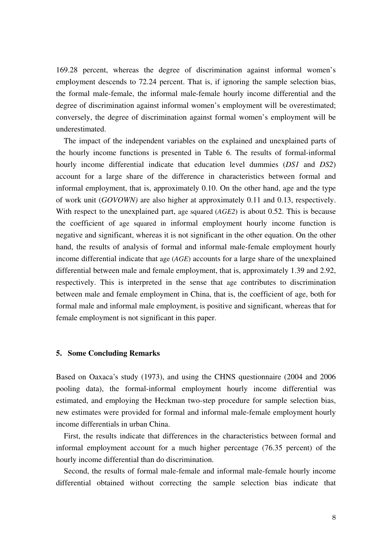169.28 percent, whereas the degree of discrimination against informal women's employment descends to 72.24 percent. That is, if ignoring the sample selection bias, the formal male-female, the informal male-female hourly income differential and the degree of discrimination against informal women's employment will be overestimated; conversely, the degree of discrimination against formal women's employment will be underestimated.

The impact of the independent variables on the explained and unexplained parts of the hourly income functions is presented in Table 6. The results of formal-informal hourly income differential indicate that education level dummies (*DS1* and *DS2*) account for a large share of the difference in characteristics between formal and informal employment, that is, approximately 0.10. On the other hand, age and the type of work unit (*GOVOWN)* are also higher at approximately 0.11 and 0.13, respectively. With respect to the unexplained part, age squared (*AGE2*) is about 0.52. This is because the coefficient of age squared in informal employment hourly income function is negative and significant, whereas it is not significant in the other equation. On the other hand, the results of analysis of formal and informal male-female employment hourly income differential indicate that age (*AGE*) accounts for a large share of the unexplained differential between male and female employment, that is, approximately 1.39 and 2.92, respectively. This is interpreted in the sense that age contributes to discrimination between male and female employment in China, that is, the coefficient of age, both for formal male and informal male employment, is positive and significant, whereas that for female employment is not significant in this paper.

#### **5. Some Concluding Remarks**

Based on Oaxaca's study (1973), and using the CHNS questionnaire (2004 and 2006 pooling data), the formal-informal employment hourly income differential was estimated, and employing the Heckman two-step procedure for sample selection bias, new estimates were provided for formal and informal male-female employment hourly income differentials in urban China.

First, the results indicate that differences in the characteristics between formal and informal employment account for a much higher percentage (76.35 percent) of the hourly income differential than do discrimination.

Second, the results of formal male-female and informal male-female hourly income differential obtained without correcting the sample selection bias indicate that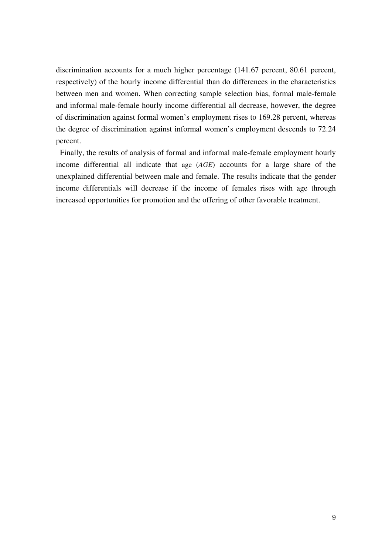discrimination accounts for a much higher percentage (141.67 percent, 80.61 percent, respectively) of the hourly income differential than do differences in the characteristics between men and women. When correcting sample selection bias, formal male-female and informal male-female hourly income differential all decrease, however, the degree of discrimination against formal women's employment rises to 169.28 percent, whereas the degree of discrimination against informal women's employment descends to 72.24 percent.

 Finally, the results of analysis of formal and informal male-female employment hourly income differential all indicate that age (*AGE*) accounts for a large share of the unexplained differential between male and female. The results indicate that the gender income differentials will decrease if the income of females rises with age through increased opportunities for promotion and the offering of other favorable treatment.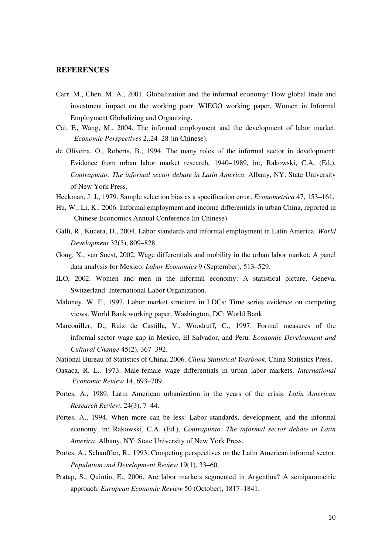#### **REFERENCES**

- Carr, M., Chen, M. A., 2001. Globalization and the informal economy: How global trade and investment impact on the working poor. WIEGO working paper, Women in Informal Employment Globalizing and Organizing.
- Cai, F., Wang, M., 2004. The informal employment and the development of labor market. *Economic Perspectives* 2,.24–28 (in Chinese).
- de Oliveira, O., Roberts, B., 1994. The many roles of the informal sector in development: Evidence from urban labor market research, 1940–1989, in:, Rakowski, C.A. (Ed.), *Contrapunto: The informal sector debate in Latin America*. Albany, NY: State University of New York Press.
- Heckman, J. J., 1979. Sample selection bias as a specification error. *Econometrica* 47, 153–161.
- Hu, W., Li, K., 2006. Informal employment and income differentials in urban China, reported in Chinese Economics Annual Conference (in Chinese).
- Galli, R., Kucera, D., 2004. Labor standards and informal employment in Latin America. *World Development* 32(5), 809–828.
- Gong, X., van Soest, 2002. Wage differentials and mobility in the urban labor market: A panel data analysis for Mexico. *Labor Economics* 9 (September), 513–529.
- ILO, 2002. Women and men in the informal economy: A statistical picture. Geneva, Switzerland: International Labor Organization.
- Maloney, W. F., 1997. Labor market structure in LDCs: Time series evidence on competing views. World Bank working paper. Washington, DC: World Bank.
- Marcouiller, D., Ruiz de Castilla, V., Woodruff, C., 1997. Formal measures of the informal-sector wage gap in Mexico, El Salvador, and Peru. *Economic Development and Cultural Change* 45(2), 367–392.
- National Bureau of Statistics of China, 2006. *China Statistical Yearbook*. China Statistics Press.
- Oaxaca, R. L., 1973. Male*-*female wage differentials in urban labor markets. *International Economic Review* 14, 693*–*709.
- Portes, A., 1989. Latin American urbanization in the years of the crisis. *Latin American Research Review*, 24(3), 7–44.
- Portes, A., 1994. When more can be less: Labor standards, development, and the informal economy, in: Rakowski, C.A. (Ed.), *Contrapunto: The informal sector debate in Latin America*. Albany, NY: State University of New York Press.
- Portes, A., Schauffler, R., 1993. Competing perspectives on the Latin American informal sector. *Population and Development Review* 19(1), 33–60.
- Pratap, S., Quintin, E., 2006. Are labor markets segmented in Argentina? A semiparametric approach. *European Economic Review* 50 (October), 1817–1841.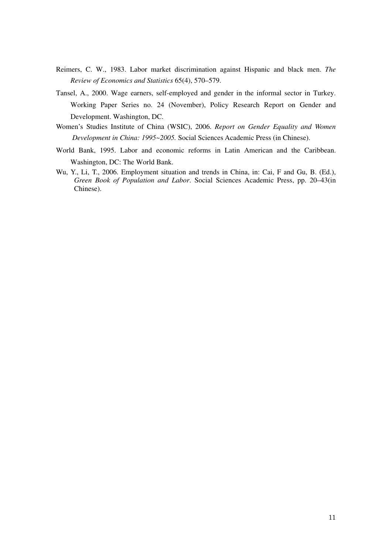- Reimers, C. W., 1983. Labor market discrimination against Hispanic and black men. *The Review of Economics and Statistics* 65(4), 570–579.
- Tansel, A., 2000. Wage earners, self-employed and gender in the informal sector in Turkey. Working Paper Series no. 24 (November), Policy Research Report on Gender and Development. Washington, DC.
- Women's Studies Institute of China (WSIC), 2006. *Report on Gender Equality and Women Development in China: 1995~2005.* Social Sciences Academic Press (in Chinese).
- World Bank, 1995. Labor and economic reforms in Latin American and the Caribbean. Washington, DC: The World Bank.
- Wu, Y., Li, T., 2006. Employment situation and trends in China, in: Cai, F and Gu, B. (Ed.), *Green Book of Population and Labor*. Social Sciences Academic Press, pp. 20–43(in Chinese).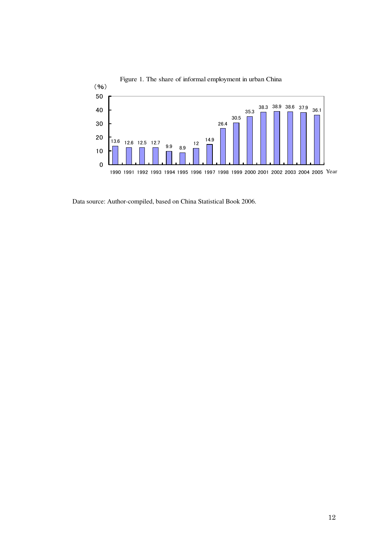

Figure 1. The share of informal employment in urban China

Data source: Author-compiled, based on China Statistical Book 2006.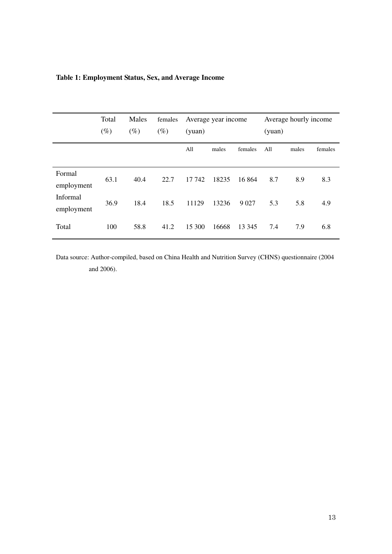|                        | Total<br>$(\%)$ | Males<br>$(\%)$ | females<br>$(\%)$ | Average year income<br>(yuan) |       |         | (yuan) | Average hourly income |         |
|------------------------|-----------------|-----------------|-------------------|-------------------------------|-------|---------|--------|-----------------------|---------|
|                        |                 |                 |                   | All                           | males | females | All    | males                 | females |
| Formal<br>employment   | 63.1            | 40.4            | 22.7              | 17 742                        | 18235 | 16 864  | 8.7    | 8.9                   | 8.3     |
| Informal<br>employment | 36.9            | 18.4            | 18.5              | 11129                         | 13236 | 9 0 27  | 5.3    | 5.8                   | 4.9     |
| Total                  | 100             | 58.8            | 41.2              | 15 300                        | 16668 | 13 345  | 7.4    | 7.9                   | 6.8     |

## **Table 1: Employment Status, Sex, and Average Income**

Data source: Author-compiled, based on China Health and Nutrition Survey (CHNS) questionnaire (2004 and 2006).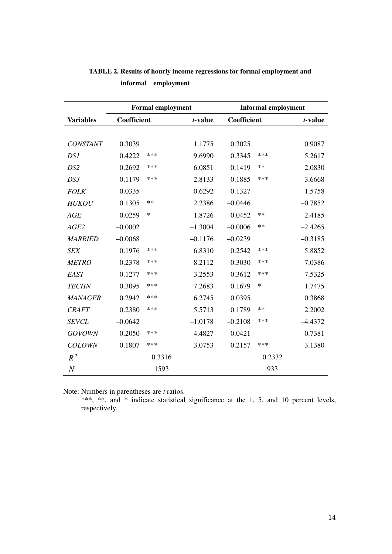|                  |             | <b>Formal employment</b> |           | <b>Informal employment</b> |        |           |  |
|------------------|-------------|--------------------------|-----------|----------------------------|--------|-----------|--|
| <b>Variables</b> | Coefficient |                          | t-value   | <b>Coefficient</b>         |        | t-value   |  |
|                  |             |                          |           |                            |        |           |  |
| <b>CONSTANT</b>  | 0.3039      |                          | 1.1775    | 0.3025                     |        | 0.9087    |  |
| DS1              | 0.4222      | ***                      | 9.6990    | 0.3345                     | ***    | 5.2617    |  |
| DS <sub>2</sub>  | 0.2692      | ***                      | 6.0851    | 0.1419                     | $***$  | 2.0830    |  |
| DS3              | 0.1179      | ***                      | 2.8133    | 0.1885                     | ***    | 3.6668    |  |
| <b>FOLK</b>      | 0.0335      |                          | 0.6292    | $-0.1327$                  |        | $-1.5758$ |  |
| <b>HUKOU</b>     | 0.1305      | $**$                     | 2.2386    | $-0.0446$                  |        | $-0.7852$ |  |
| AGE              | 0.0259      | $\ast$                   | 1.8726    | 0.0452                     | **     | 2.4185    |  |
| AGE2             | $-0.0002$   |                          | $-1.3004$ | $-0.0006$                  | **     | $-2.4265$ |  |
| <b>MARRIED</b>   | $-0.0068$   |                          | $-0.1176$ | $-0.0239$                  |        | $-0.3185$ |  |
| <b>SEX</b>       | 0.1976      | ***                      | 6.8310    | 0.2542                     | ***    | 5.8852    |  |
| <b>METRO</b>     | 0.2378      | ***                      | 8.2112    | 0.3030                     | ***    | 7.0386    |  |
| EAST             | 0.1277      | ***                      | 3.2553    | 0.3612                     | ***    | 7.5325    |  |
| <b>TECHN</b>     | 0.3095      | ***                      | 7.2683    | 0.1679                     | $\ast$ | 1.7475    |  |
| <b>MANAGER</b>   | 0.2942      | ***                      | 6.2745    | 0.0395                     |        | 0.3868    |  |
| <b>CRAFT</b>     | 0.2380      | ***                      | 5.5713    | 0.1789                     | **     | 2.2002    |  |
| <b>SEVCL</b>     | $-0.0642$   |                          | $-1.0178$ | $-0.2108$                  | ***    | $-4.4372$ |  |
| <b>GOVOWN</b>    | 0.2050      | ***                      | 4.4827    | 0.0421                     |        | 0.7381    |  |
| <b>COLOWN</b>    | $-0.1807$   | ***                      | $-3.0753$ | $-0.2157$                  | ***    | $-3.1380$ |  |
| $\overline{R}^2$ |             | 0.3316                   |           |                            | 0.2332 |           |  |
| $\boldsymbol{N}$ |             | 1593                     |           |                            | 933    |           |  |

**TABLE 2. Results of hourly income regressions for formal employment and informal employment** 

Note: Numbers in parentheses are *t* ratios.

\*\*\*, \*\*, and \* indicate statistical significance at the 1, 5, and 10 percent levels, respectively.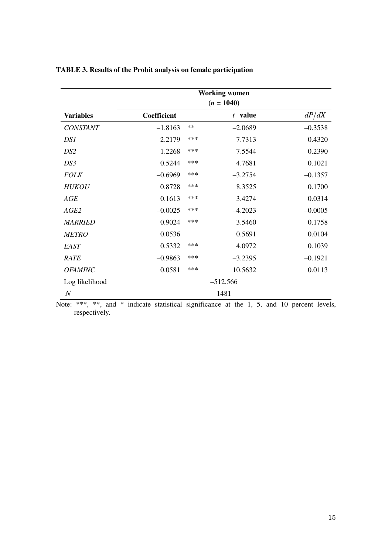|                  | <b>Working women</b> |      |              |           |  |  |  |
|------------------|----------------------|------|--------------|-----------|--|--|--|
|                  |                      |      | $(n = 1040)$ |           |  |  |  |
| <b>Variables</b> | Coefficient          |      | $t$ value    | dP/dX     |  |  |  |
| <b>CONSTANT</b>  | $-1.8163$            | $**$ | $-2.0689$    | $-0.3538$ |  |  |  |
| DS1              | 2.2179               | ***  | 7.7313       | 0.4320    |  |  |  |
| DS <sub>2</sub>  | 1.2268               | ***  | 7.5544       | 0.2390    |  |  |  |
| DS3              | 0.5244               | ***  | 4.7681       | 0.1021    |  |  |  |
| <b>FOLK</b>      | $-0.6969$            | ***  | $-3.2754$    | $-0.1357$ |  |  |  |
| <b>HUKOU</b>     | 0.8728               | ***  | 8.3525       | 0.1700    |  |  |  |
| AGE              | 0.1613               | ***  | 3.4274       | 0.0314    |  |  |  |
| AGE2             | $-0.0025$            | ***  | $-4.2023$    | $-0.0005$ |  |  |  |
| <b>MARRIED</b>   | $-0.9024$            | ***  | $-3.5460$    | $-0.1758$ |  |  |  |
| <b>METRO</b>     | 0.0536               |      | 0.5691       | 0.0104    |  |  |  |
| EAST             | 0.5332               | ***  | 4.0972       | 0.1039    |  |  |  |
| <b>RATE</b>      | $-0.9863$            | ***  | $-3.2395$    | $-0.1921$ |  |  |  |
| <b>OFAMINC</b>   | 0.0581               | ***  | 10.5632      | 0.0113    |  |  |  |
| Log likelihood   |                      |      | $-512.566$   |           |  |  |  |
| $\boldsymbol{N}$ |                      |      | 1481         |           |  |  |  |

**TABLE 3. Results of the Probit analysis on female participation**

Note: \*\*\*, \*\*, and \* indicate statistical significance at the 1, 5, and 10 percent levels, respectively.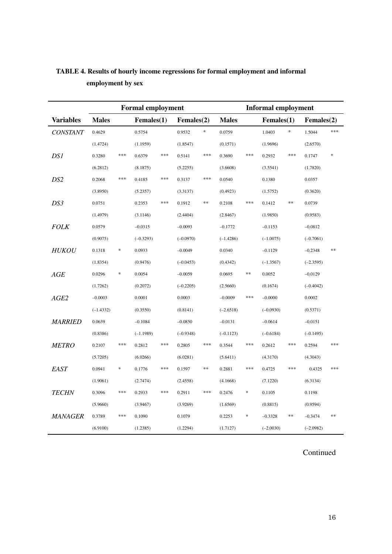|                  |              | <b>Formal employment</b> |             |                |             |                |              | <b>Informal employment</b> |                  |        |             |         |
|------------------|--------------|--------------------------|-------------|----------------|-------------|----------------|--------------|----------------------------|------------------|--------|-------------|---------|
| <b>Variables</b> | <b>Males</b> |                          | Females(1)  |                | Females(2)  |                | <b>Males</b> |                            | $F$ emales $(1)$ |        | Females(2)  |         |
| <b>CONSTANT</b>  | 0.4629       |                          | 0.5754      |                | 0.9532      | *              | 0.0759       |                            | 1.0403           | $\ast$ | 1.5044      | $* * *$ |
|                  | (1.4724)     |                          | (1.1959)    |                | (1.8547)    |                | (0.1571)     |                            | (1.9696)         |        | (2.6570)    |         |
| DS1              | 0.3280       | ***                      | 0.6379      | ***            | 0.5141      | $\ast\ast\ast$ | 0.3690       | ***                        | 0.2932           | ***    | 0.1747      |         |
|                  | (6.2812)     |                          | (8.1875)    |                | (5.2255)    |                | (3.6608)     |                            | (3.5541)         |        | (1.7820)    |         |
| DS <sub>2</sub>  | 0.2068       | ***                      | 0.4185      | ***            | 0.3137      | $\ast\ast\ast$ | 0.0540       |                            | 0.1380           |        | 0.0357      |         |
|                  | (3.8950)     |                          | (5.2357)    |                | (3.3137)    |                | (0.4923)     |                            | (1.5752)         |        | (0.3620)    |         |
| DS3              | 0.0751       |                          | 0.2353      | $***$          | 0.1912      | $\ast$         | 0.2108       | ***                        | 0.1412           | **     | 0.0739      |         |
|                  | (1.4979)     |                          | (3.1146)    |                | (2.4404)    |                | (2.8467)     |                            | (1.9850)         |        | (0.9583)    |         |
| <b>FOLK</b>      | 0.0579       |                          | $-0.0315$   |                | $-0.0093$   |                | $-0.1772$    |                            | $-0.1153$        |        | $-0.0812$   |         |
|                  | (0.9075)     |                          | $(-0.3293)$ |                | $(-0.0970)$ |                | $(-1.4286)$  |                            | $(-1.0075)$      |        | $(-0.7061)$ |         |
| <b>HUKOU</b>     | 0.1318       | $\ast$                   | 0.0933      |                | $-0.0049$   |                | 0.0340       |                            | $-0.1129$        |        | $-0.2348$   | **      |
|                  | (1.8354)     |                          | (0.9476)    |                | $(-0.0453)$ |                | (0.4342)     |                            | $(-1.3567)$      |        | $(-2.3595)$ |         |
| AGE              | 0.0296       | $\ast$                   | 0.0054      |                | $-0.0059$   |                | 0.0695       | **                         | 0.0052           |        | $-0.0129$   |         |
|                  | (1.7262)     |                          | (0.2072)    |                | $(-0.2205)$ |                | (2.5660)     |                            | (0.1674)         |        | $(-0.4042)$ |         |
| AGE2             | $-0.0003$    |                          | 0.0001      |                | 0.0003      |                | $-0.0009$    | ***                        | $-0.0000$        |        | 0.0002      |         |
|                  | $(-1.4332)$  |                          | (0.3550)    |                | (0.8141)    |                | $(-2.6518)$  |                            | $(-0.0930)$      |        | (0.5371)    |         |
| <b>MARRIED</b>   | 0.0639       |                          | $-0.1084$   |                | $-0.0850$   |                | $-0.0131$    |                            | $-0.0614$        |        | $-0.0151$   |         |
|                  | (0.8386)     |                          | $(-1.1989)$ |                | $(-0.9348)$ |                | $(-0.1123)$  |                            | $(-0.6184)$      |        | $(-0.1495)$ |         |
| <b>METRO</b>     | 0.2107       | ***                      | 0.2812      | ***            | 0.2805      | ***            | 0.3544       | ***                        | 0.2612           | ***    | 0.2594      | ***     |
|                  | (5.7205)     |                          | (6.0266)    |                | (6.0281)    |                | (5.6411)     |                            | (4.3170)         |        | (4.3043)    |         |
| EAST             | 0.0941       | $\ast$                   | 0.1776      | $\ast\ast\ast$ | 0.1597      | **             | 0.2881       | ***                        | 0.4725           | ***    | 0.4325      | ***     |
|                  | (1.9061)     |                          | (2.7474)    |                | (2.4558)    |                | (4.1668)     |                            | (7.1220)         |        | (6.3134)    |         |
| <b>TECHN</b>     | 0.3096       | ***                      | 0.2933      | ***            | 0.2911      | $\ast\ast\ast$ | 0.2476       | *                          | 0.1105           |        | 0.1198      |         |
|                  | (5.9660)     |                          | (3.9467)    |                | (3.9269)    |                | (1.6569)     |                            | (0.8815)         |        | (0.9594)    |         |
| <b>MANAGER</b>   | 0.3789       | ***                      | 0.1090      |                | 0.1079      |                | 0.2253       | *                          | $-0.3328$        | **     | $-0.3474$   | **      |
|                  | (6.9100)     |                          | (1.2385)    |                | (1.2294)    |                | (1.7127)     |                            | $(-2.0030)$      |        | $(-2.0982)$ |         |

# **TABLE 4. Results of hourly income regressions for formal employment and informal employment by sex**

## Continued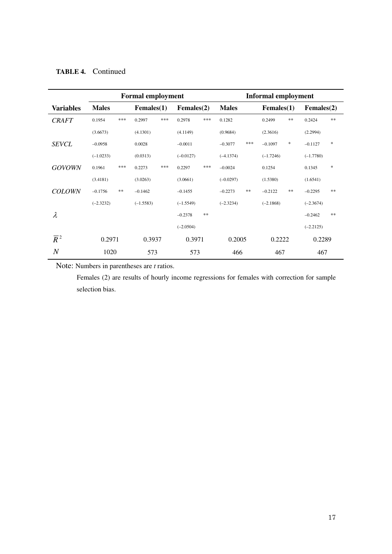|                  | <b>Formal employment</b> |     |                  |     | <b>Informal employment</b> |             |              |     |             |        |                  |               |
|------------------|--------------------------|-----|------------------|-----|----------------------------|-------------|--------------|-----|-------------|--------|------------------|---------------|
| <b>Variables</b> | <b>Males</b>             |     | $F$ emales $(1)$ |     | $F$ emales $(2)$           |             | <b>Males</b> |     | Females(1)  |        | $F$ emales $(2)$ |               |
| <b>CRAFT</b>     | 0.1954                   | *** | 0.2997           | *** | 0.2978                     | $*\ast\ast$ | 0.1282       |     | 0.2499      | $\ast$ | 0.2424           | $\ast$ $\ast$ |
|                  | (3.6673)                 |     | (4.1301)         |     | (4.1149)                   |             | (0.9684)     |     | (2.3616)    |        | (2.2994)         |               |
| <b>SEVCL</b>     | $-0.0958$                |     | 0.0028           |     | $-0.0011$                  |             | $-0.3077$    | *** | $-0.1097$   | $\ast$ | $-0.1127$        | $\ast$        |
|                  | $(-1.0233)$              |     | (0.0313)         |     | $(-0.0127)$                |             | $(-4.1374)$  |     | $(-1.7246)$ |        | $(-1.7780)$      |               |
| <b>GOVOWN</b>    | 0.1961                   | *** | 0.2273           | *** | 0.2297                     | ***         | $-0.0024$    |     | 0.1254      |        | 0.1345           | $\ast$        |
|                  | (3.4181)                 |     | (3.0263)         |     | (3.0661)                   |             | $(-0.0297)$  |     | (1.5380)    |        | (1.6541)         |               |
| <b>COLOWN</b>    | $-0.1756$                | **  | $-0.1462$        |     | $-0.1455$                  |             | $-0.2273$    | **  | $-0.2122$   | $\ast$ | $-0.2295$        | **            |
|                  | $(-2.3232)$              |     | $(-1.5583)$      |     | $(-1.5549)$                |             | $(-2.3234)$  |     | $(-2.1868)$ |        | $(-2.3674)$      |               |
| λ                |                          |     |                  |     | $-0.2378$                  | $\ast\ast$  |              |     |             |        | $-0.2462$        | $\ast$ $\ast$ |
|                  |                          |     |                  |     | $(-2.0504)$                |             |              |     |             |        | $(-2.2125)$      |               |
| $\overline{R}^2$ | 0.2971                   |     | 0.3937           |     | 0.3971                     |             | 0.2005       |     | 0.2222      |        | 0.2289           |               |
| $\overline{N}$   | 1020                     |     | 573              |     | 573                        |             | 466          |     | 467         |        | 467              |               |

## **TABLE 4.** Continued

Note: Numbers in parentheses are *t* ratios.

 Females (2) are results of hourly income regressions for females with correction for sample selection bias.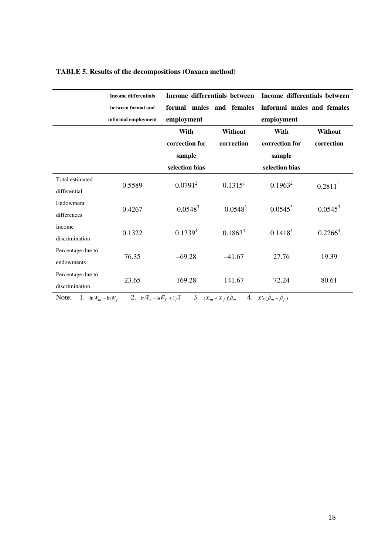|                   | <b>Income differentials</b> | Income differentials between |                     | Income differentials between |                     |  |
|-------------------|-----------------------------|------------------------------|---------------------|------------------------------|---------------------|--|
|                   | between formal and          | formal males and females     |                     | informal males and females   |                     |  |
|                   | informal employment         | employment                   |                     | employment                   |                     |  |
|                   |                             | With                         | Without             | With                         | Without             |  |
|                   |                             | correction for               | correction          | correction for               | correction          |  |
|                   |                             | sample                       |                     | sample                       |                     |  |
|                   |                             | selection bias               |                     | selection bias               |                     |  |
| Total estimated   | 0.5589                      | $0.0791^2$                   | $0.1315^1$          | $0.1963^2$                   | 0.2811 <sup>1</sup> |  |
| differential      |                             |                              |                     |                              |                     |  |
| Endowment         | 0.4267                      | $-0.0548^{3}$                | $-0.0548^{3}$       | $0.0545^3$                   | $0.0545^3$          |  |
| differences       |                             |                              |                     |                              |                     |  |
| Income            | 0.1322                      | $0.1339^{4}$                 | 0.1863 <sup>4</sup> | 0.1418 <sup>4</sup>          | 0.2266 <sup>4</sup> |  |
| discrimination    |                             |                              |                     |                              |                     |  |
| Percentage due to | 76.35                       | $-69.28$                     | $-41.67$            | 27.76                        | 19.39               |  |
| endowments        |                             |                              |                     |                              |                     |  |
| Percentage due to | 23.65                       | 169.28                       | 141.67              | 72.24                        | 80.61               |  |
| discrimination    |                             |                              |                     |                              |                     |  |

## **TABLE 5. Results of the decompositions (Oaxaca method)**

Note: 1.  $\ln \overline{W}_m - \ln \overline{W}_f$  2.  $\ln \overline{W}_m - \ln \overline{W}_f + \hat{c}_f \overline{\lambda}$  3.  $(\overline{X}_m - \overline{X}_f)'\hat{\beta}_m$  4.  $\overline{X}_f'(\hat{\beta}_m - \hat{\beta}_f)$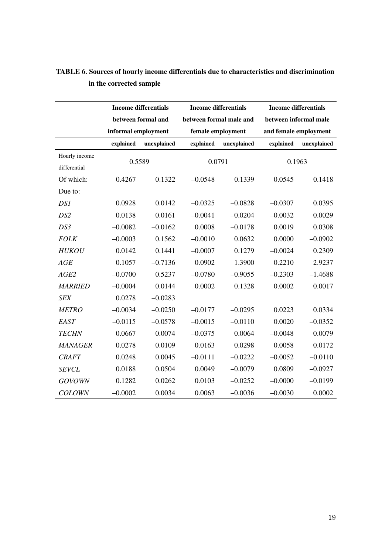|                 |                     | <b>Income differentials</b> | <b>Income differentials</b> |             | <b>Income differentials</b> |             |  |  |
|-----------------|---------------------|-----------------------------|-----------------------------|-------------|-----------------------------|-------------|--|--|
|                 |                     | between formal and          | between formal male and     |             | between informal male       |             |  |  |
|                 | informal employment |                             | female employment           |             | and female employment       |             |  |  |
|                 | explained           | unexplained                 | explained                   | unexplained | explained                   | unexplained |  |  |
| Hourly income   |                     |                             |                             |             |                             |             |  |  |
| differential    | 0.5589              |                             | 0.0791                      |             |                             | 0.1963      |  |  |
| Of which:       | 0.4267              | 0.1322                      | $-0.0548$                   | 0.1339      | 0.0545                      | 0.1418      |  |  |
| Due to:         |                     |                             |                             |             |                             |             |  |  |
| DS1             | 0.0928              | 0.0142                      | $-0.0325$                   | $-0.0828$   | $-0.0307$                   | 0.0395      |  |  |
| DS <sub>2</sub> | 0.0138              | 0.0161                      | $-0.0041$                   | $-0.0204$   | $-0.0032$                   | 0.0029      |  |  |
| DS3             | $-0.0082$           | $-0.0162$                   | 0.0008                      | $-0.0178$   | 0.0019                      | 0.0308      |  |  |
| <b>FOLK</b>     | $-0.0003$           | 0.1562                      | $-0.0010$                   | 0.0632      | 0.0000                      | $-0.0902$   |  |  |
| <b>HUKOU</b>    | 0.0142              | 0.1441                      | $-0.0007$                   | 0.1279      | $-0.0024$                   | 0.2309      |  |  |
| AGE             | 0.1057              | $-0.7136$                   | 0.0902                      | 1.3900      | 0.2210                      | 2.9237      |  |  |
| AGE2            | $-0.0700$           | 0.5237                      | $-0.0780$                   | $-0.9055$   | $-0.2303$                   | $-1.4688$   |  |  |
| <b>MARRIED</b>  | $-0.0004$           | 0.0144                      | 0.0002                      | 0.1328      | 0.0002                      | 0.0017      |  |  |
| <b>SEX</b>      | 0.0278              | $-0.0283$                   |                             |             |                             |             |  |  |
| <b>METRO</b>    | $-0.0034$           | $-0.0250$                   | $-0.0177$                   | $-0.0295$   | 0.0223                      | 0.0334      |  |  |
| EAST            | $-0.0115$           | $-0.0578$                   | $-0.0015$                   | $-0.0110$   | 0.0020                      | $-0.0352$   |  |  |
| <b>TECHN</b>    | 0.0667              | 0.0074                      | $-0.0375$                   | 0.0064      | $-0.0048$                   | 0.0079      |  |  |
| <b>MANAGER</b>  | 0.0278              | 0.0109                      | 0.0163                      | 0.0298      | 0.0058                      | 0.0172      |  |  |
| <b>CRAFT</b>    | 0.0248              | 0.0045                      | $-0.0111$                   | $-0.0222$   | $-0.0052$                   | $-0.0110$   |  |  |
| <b>SEVCL</b>    | 0.0188              | 0.0504                      | 0.0049                      | $-0.0079$   | 0.0809                      | $-0.0927$   |  |  |
| <b>GOVOWN</b>   | 0.1282              | 0.0262                      | 0.0103                      | $-0.0252$   | $-0.0000$                   | $-0.0199$   |  |  |
| <b>COLOWN</b>   | $-0.0002$           | 0.0034                      | 0.0063                      | $-0.0036$   | $-0.0030$                   | 0.0002      |  |  |

## **TABLE 6. Sources of hourly income differentials due to characteristics and discrimination in the corrected sample**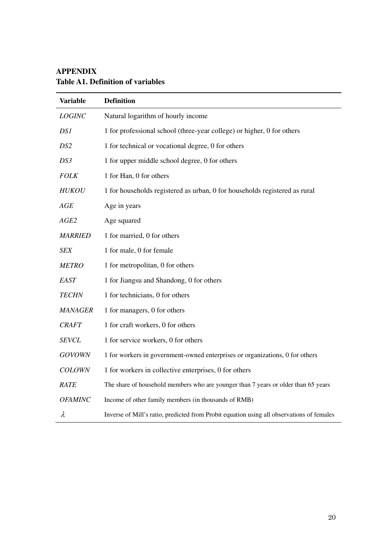| <b>Variable</b> | <b>Definition</b>                                                                         |
|-----------------|-------------------------------------------------------------------------------------------|
| <b>LOGINC</b>   | Natural logarithm of hourly income                                                        |
| DS1             | 1 for professional school (three-year college) or higher, 0 for others                    |
| DS <sub>2</sub> | 1 for technical or vocational degree, 0 for others                                        |
| DS3             | 1 for upper middle school degree, 0 for others                                            |
| <b>FOLK</b>     | 1 for Han, 0 for others                                                                   |
| <b>HUKOU</b>    | 1 for households registered as urban, 0 for households registered as rural                |
| AGE             | Age in years                                                                              |
| AGE2            | Age squared                                                                               |
| <b>MARRIED</b>  | 1 for married, 0 for others                                                               |
| <b>SEX</b>      | 1 for male, 0 for female                                                                  |
| <b>METRO</b>    | 1 for metropolitan, 0 for others                                                          |
| EAST            | 1 for Jiangsu and Shandong, 0 for others                                                  |
| <b>TECHN</b>    | 1 for technicians, 0 for others                                                           |
| <b>MANAGER</b>  | 1 for managers, 0 for others                                                              |
| <b>CRAFT</b>    | 1 for craft workers, 0 for others                                                         |
| <b>SEVCL</b>    | 1 for service workers, 0 for others                                                       |
| <b>GOVOWN</b>   | 1 for workers in government-owned enterprises or organizations, 0 for others              |
| <b>COLOWN</b>   | 1 for workers in collective enterprises, 0 for others                                     |
| RATE            | The share of household members who are younger than 7 years or older than 65 years        |
| <b>OFAMINC</b>  | Income of other family members (in thousands of RMB)                                      |
| $\lambda$       | Inverse of Mill's ratio, predicted from Probit equation using all observations of females |

# **APPENDIX Table A1. Definition of variables**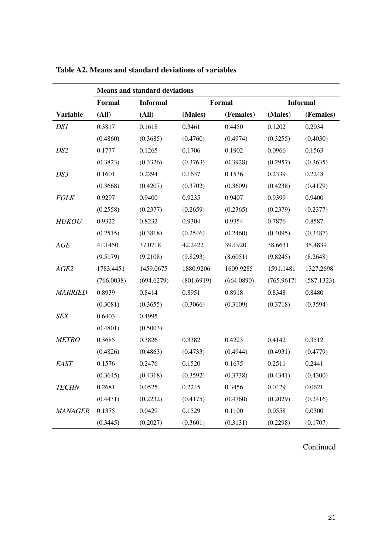|                 | <b>Means and standard deviations</b> |                                  |            |            |            |                 |  |  |
|-----------------|--------------------------------------|----------------------------------|------------|------------|------------|-----------------|--|--|
|                 | Formal                               | <b>Informal</b><br><b>Formal</b> |            |            |            | <b>Informal</b> |  |  |
| <b>Variable</b> | (All)                                | (AII)                            | (Males)    | (Females)  | (Males)    | (Females)       |  |  |
| DS1             | 0.3817                               | 0.1618                           | 0.3461     | 0.4450     | 0.1202     | 0.2034          |  |  |
|                 | (0.4860)                             | (0.3685)                         | (0.4760)   | (0.4974)   | (0.3255)   | (0.4030)        |  |  |
| DS <sub>2</sub> | 0.1777                               | 0.1265                           | 0.1706     | 0.1902     | 0.0966     | 0.1563          |  |  |
|                 | (0.3823)                             | (0.3326)                         | (0.3763)   | (0.3928)   | (0.2957)   | (0.3635)        |  |  |
| DS3             | 0.1601                               | 0.2294                           | 0.1637     | 0.1536     | 0.2339     | 0.2248          |  |  |
|                 | (0.3668)                             | (0.4207)                         | (0.3702)   | (0.3609)   | (0.4238)   | (0.4179)        |  |  |
| <b>FOLK</b>     | 0.9297                               | 0.9400                           | 0.9235     | 0.9407     | 0.9399     | 0.9400          |  |  |
|                 | (0.2558)                             | (0.2377)                         | (0.2659)   | (0.2365)   | (0.2379)   | (0.2377)        |  |  |
| <b>HUKOU</b>    | 0.9322                               | 0.8232                           | 0.9304     | 0.9354     | 0.7876     | 0.8587          |  |  |
|                 | (0.2515)                             | (0.3818)                         | (0.2546)   | (0.2460)   | (0.4095)   | (0.3487)        |  |  |
| AGE             | 41.1450                              | 37.0718                          | 42.2422    | 39.1920    | 38.6631    | 35.4839         |  |  |
|                 | (9.5179)                             | (9.2108)                         | (9.8293)   | (8.6051)   | (9.8245)   | (8.2648)        |  |  |
| AGE2            | 1783.4451                            | 1459.0675                        | 1880.9206  | 1609.9285  | 1591.1481  | 1327.2698       |  |  |
|                 | (766.0038)                           | (694.6279)                       | (801.6919) | (664.0890) | (765.9617) | (587.1323)      |  |  |
| <b>MARRIED</b>  | 0.8939                               | 0.8414                           | 0.8951     | 0.8918     | 0.8348     | 0.8480          |  |  |
|                 | (0.3081)                             | (0.3655)                         | (0.3066)   | (0.3109)   | (0.3718)   | (0.3594)        |  |  |
| <b>SEX</b>      | 0.6403                               | 0.4995                           |            |            |            |                 |  |  |
|                 | (0.4801)                             | (0.5003)                         |            |            |            |                 |  |  |
| <b>METRO</b>    | 0.3685                               | 0.3826                           | 0.3382     | 0.4223     | 0.4142     | 0.3512          |  |  |
|                 | (0.4826)                             | (0.4863)                         | (0.4733)   | (0.4944)   | (0.4931)   | (0.4779)        |  |  |
| EAST            | 0.1576                               | 0.2476                           | 0.1520     | 0.1675     | 0.2511     | 0.2441          |  |  |
|                 | (0.3645)                             | (0.4318)                         | (0.3592)   | (0.3738)   | (0.4341)   | (0.4300)        |  |  |
| <b>TECHN</b>    | 0.2681                               | 0.0525                           | 0.2245     | 0.3456     | 0.0429     | 0.0621          |  |  |
|                 | (0.4431)                             | (0.2232)                         | (0.4175)   | (0.4760)   | (0.2029)   | (0.2416)        |  |  |
| <b>MANAGER</b>  | 0.1375                               | 0.0429                           | 0.1529     | 0.1100     | 0.0558     | 0.0300          |  |  |
|                 | (0.3445)                             | (0.2027)                         | (0.3601)   | (0.3131)   | (0.2298)   | (0.1707)        |  |  |

**Table A2. Means and standard deviations of variables** 

Continued